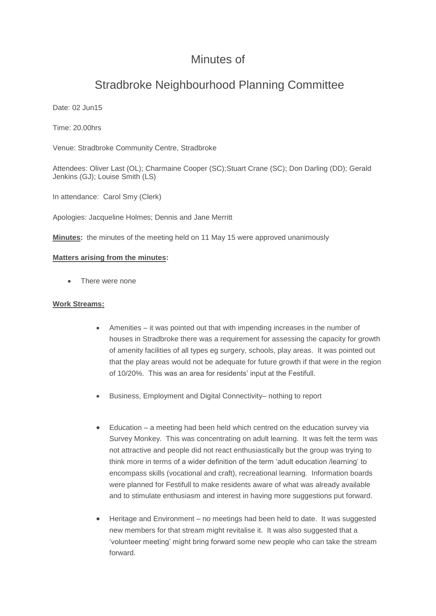## Minutes of

# Stradbroke Neighbourhood Planning Committee

Date: 02 Jun15

Time: 20.00hrs

Venue: Stradbroke Community Centre, Stradbroke

Attendees: Oliver Last (OL); Charmaine Cooper (SC);Stuart Crane (SC); Don Darling (DD); Gerald Jenkins (GJ); Louise Smith (LS)

In attendance: Carol Smy (Clerk)

Apologies: Jacqueline Holmes; Dennis and Jane Merritt

**Minutes:** the minutes of the meeting held on 11 May 15 were approved unanimously

#### **Matters arising from the minutes:**

There were none

#### **Work Streams:**

- Amenities it was pointed out that with impending increases in the number of houses in Stradbroke there was a requirement for assessing the capacity for growth of amenity facilities of all types eg surgery, schools, play areas. It was pointed out that the play areas would not be adequate for future growth if that were in the region of 10/20%. This was an area for residents' input at the Festifull.
- Business, Employment and Digital Connectivity– nothing to report
- Education a meeting had been held which centred on the education survey via Survey Monkey. This was concentrating on adult learning. It was felt the term was not attractive and people did not react enthusiastically but the group was trying to think more in terms of a wider definition of the term 'adult education /learning' to encompass skills (vocational and craft), recreational learning. Information boards were planned for Festifull to make residents aware of what was already available and to stimulate enthusiasm and interest in having more suggestions put forward.
- Heritage and Environment no meetings had been held to date. It was suggested new members for that stream might revitalise it. It was also suggested that a 'volunteer meeting' might bring forward some new people who can take the stream forward.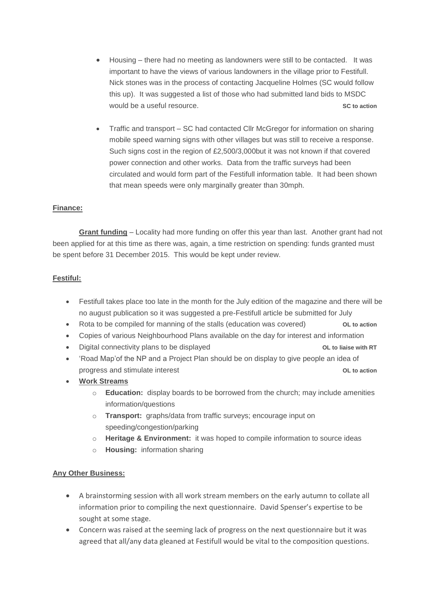- Housing there had no meeting as landowners were still to be contacted. It was important to have the views of various landowners in the village prior to Festifull. Nick stones was in the process of contacting Jacqueline Holmes (SC would follow this up). It was suggested a list of those who had submitted land bids to MSDC would be a useful resource. **SC to action SC to action**
- Traffic and transport SC had contacted Cllr McGregor for information on sharing mobile speed warning signs with other villages but was still to receive a response. Such signs cost in the region of £2,500/3,000but it was not known if that covered power connection and other works. Data from the traffic surveys had been circulated and would form part of the Festifull information table. It had been shown that mean speeds were only marginally greater than 30mph.

#### **Finance:**

**Grant funding** – Locality had more funding on offer this year than last. Another grant had not been applied for at this time as there was, again, a time restriction on spending: funds granted must be spent before 31 December 2015. This would be kept under review.

#### **Festiful:**

- Festifull takes place too late in the month for the July edition of the magazine and there will be no august publication so it was suggested a pre-Festifull article be submitted for July
- Rota to be compiled for manning of the stalls (education was covered) **OL to action**
- Copies of various Neighbourhood Plans available on the day for interest and information
- Digital connectivity plans to be displayed **OL to liaise with RT**
- 'Road Map'of the NP and a Project Plan should be on display to give people an idea of progress and stimulate interest **OL to action**
- **Work Streams**
	- o **Education:** display boards to be borrowed from the church; may include amenities information/questions
	- o **Transport:** graphs/data from traffic surveys; encourage input on speeding/congestion/parking
	- o **Heritage & Environment:** it was hoped to compile information to source ideas
	- o **Housing:** information sharing

#### **Any Other Business:**

- A brainstorming session with all work stream members on the early autumn to collate all information prior to compiling the next questionnaire. David Spenser's expertise to be sought at some stage.
- Concern was raised at the seeming lack of progress on the next questionnaire but it was agreed that all/any data gleaned at Festifull would be vital to the composition questions.